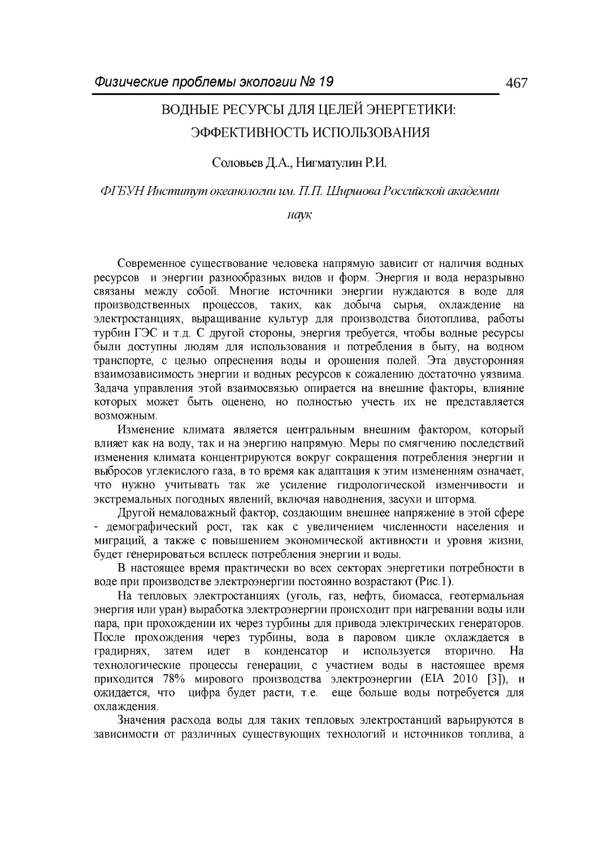# ВОДНЫЕ РЕСУРСЫ ДЛЯ ЦЕЛЕЙ ЭНЕРГЕТИКИ: ЭФФЕКТИВНОСТЬ ИСПОЛЬЗОВАНИЯ

Соловьев Д.А., Нигматулин Р.И.

### ФГБУН Институт океанологии им. П.П. Ширшова Российской академии

наук

Современное существование человека напрямую зависит от наличия водных ресурсов и энергии разнообразных видов и форм. Энергия и вода неразрывно связаны между собой. Многие источники энергии нуждаются в воде для производственных процессов, таких, как добыча сырья, охлаждение на электростанциях, выращивание культур для производства биотоплива, работы турбин ГЭС и т.д. С другой стороны, энергия требуется, чтобы водные ресурсы были доступны людям для использования и потребления в быту, на водном транспорте, с целью опреснения воды и орошения полей. Эта двусторонняя взаимозависимость энергии и водных ресурсов к сожалению достаточно уязвима. Задача управления этой взаимосвязью опирается на внешние факторы, влияние которых может быть оценено, но полностью учесть их не представляется возможным.

Изменение климата является центральным внешним фактором, который влияет как на воду, так и на энергию напрямую. Меры по смягчению последствий изменения климата концентрируются вокруг сокращения потребления энергии и выбросов углекислого газа, в то время как адаптация к этим изменениям означает, что нужно учитывать так же усиление гидрологической изменчивости и экстремальных погодных явлений, включая наводнения, засухи и шторма.

Другой немаловажный фактор, создающим внешнее напряжение в этой сфере - демографический рост, так как с увеличением численности населения и миграций, а также с повышением экономической активности и уровня жизни, будет генерироваться всплеск потребления энергии и воды.

В настоящее время практически во всех секторах энергетики потребности в воде при производстве электроэнергии постоянно возрастают (Рис.1).

На тепловых электростанциях (уголь, газ, нефть, биомасса, геотермальная энергия или уран) выработка электроэнергии происходит при нагревании воды или пара, при прохождении их через турбины для привода электрических генераторов. После прохождения через турбины, вода в паровом цикле охлаждается в идет в конденсатор используется градирнях, затем  $\mathbf{M}$ вторично. Ha технологические процессы генерации, с участием воды в настоящее время приходится 78% мирового производства электроэнергии (ЕІА 2010 [3]), и ожидается, что цифра будет расти, т.е. еще больше воды потребуется для охлаждения.

Значения расхода воды для таких тепловых электростанций варьируются в зависимости от различных существующих технологий и источников топлива, а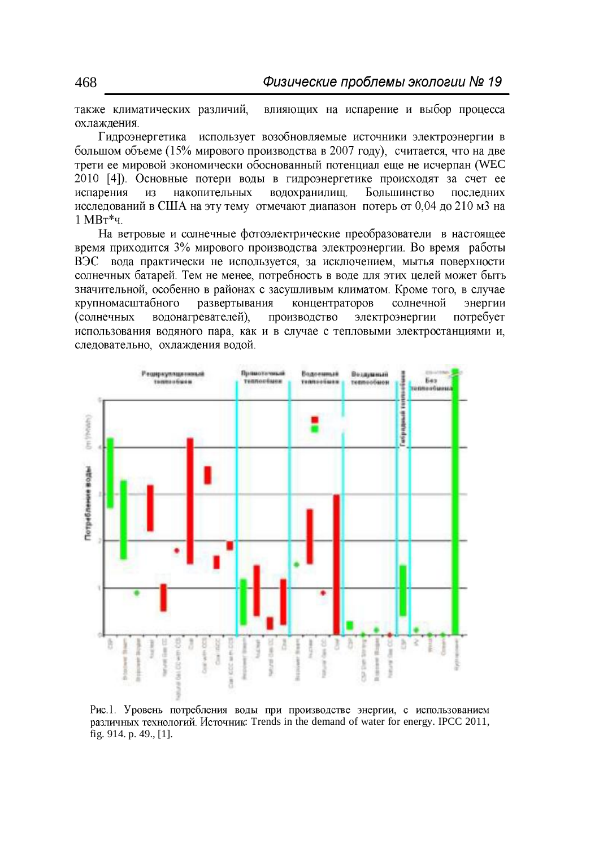также климатических различий. влияющих на испарение и выбор процесса охлаждения.

Гидроэнергетика использует возобновляемые источники электроэнергии в большом объеме (15% мирового производства в 2007 году), считается, что на две трети ее мировой экономически обоснованный потенциал еще не исчерпан (WEC 2010 [4]). Основные потери воды в гидроэнергетике происходят за счет ее испарения **H3** накопительных водохранилищ. Большинство последних исследований в США на эту тему отмечают диапазон потерь от 0.04 до 210 м3 на  $1$  MB $T^*$ 4.

На ветровые и солнечные фотоэлектрические преобразователи в настоящее время приходится 3% мирового производства электроэнергии. Во время работы ВЭС вода практически не используется, за исключением, мытья поверхности солнечных батарей. Тем не менее, потребность в воде для этих целей может быть значительной, особенно в районах с засушливым климатом. Кроме того, в случае крупномасштабного развертывания концентраторов солнечной энергии производство *(солнечных* водонагревателей). электроэнергии потребует использования водяного пара, как и в случае с тепловыми электростанциями и, следовательно, охлаждения водой.



Рис.1. Уровень потребления воды при производстве энергии, с использованием различных технологий. Источник: Trends in the demand of water for energy. IPCC 2011, fig. 914. p. 49., [1].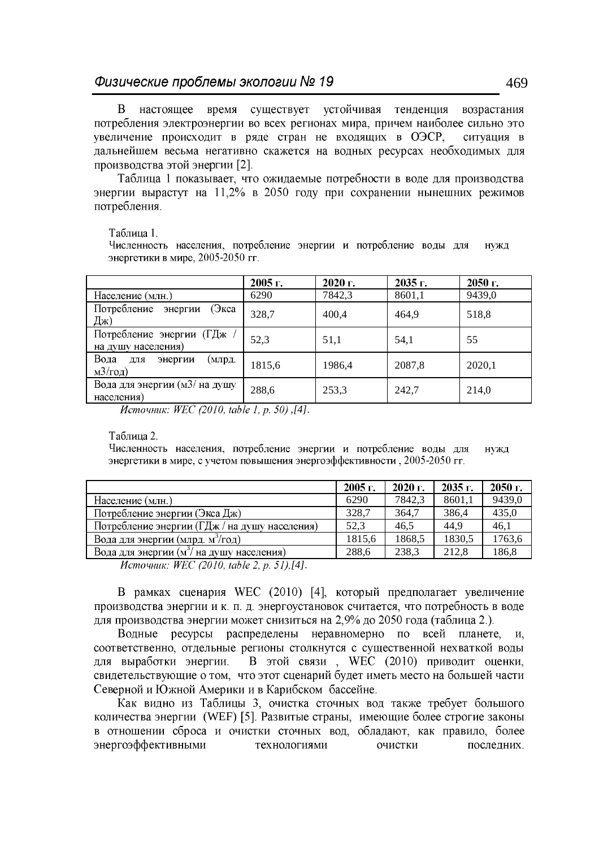время существует устойчивая тенденция B настоящее возрастания потребления электроэнергии во всех регионах мира, причем наиболее сильно это увеличение происходит в ряде стран не входящих в ОЭСР, ситуация в дальнейшем весьма негативно скажется на водных ресурсах необходимых для производства этой энергии [2].

Таблица 1 показывает, что ожидаемые потребности в воде для производства энергии вырастут на 11,2% в 2050 году при сохранении нынешних режимов потребления.

#### Таблица 1.

Численность населения, потребление энергии и потребление воды для нужд энергетики в мире, 2005-2050 гг.

|                                                              | 2005 г. | 2020 г. | 2035 г. | $2050$ г. |
|--------------------------------------------------------------|---------|---------|---------|-----------|
| Население (млн.)                                             | 6290    | 7842,3  | 8601,1  | 9439,0    |
| Потребление<br>(Экса<br>энергии<br>Дж)                       | 328,7   | 400,4   | 464,9   | 518,8     |
| Потребление энергии (ГДж<br>на душу населения)               | 52,3    | 51,1    | 54,1    | 55        |
| Вода<br>энергии<br>(млрд.<br>для<br>$\text{M}3/\text{ro}$ д) | 1815,6  | 1986,4  | 2087,8  | 2020,1    |
| Вода для энергии (м3/ на душу<br>населения)                  | 288,6   | 253,3   | 242,7   | 214,0     |

*Источник: WEC (2010, table 1, p. 50),[4].* 

#### Таблица 2.

Численность населения, потребление энергии и потребление воды для нужд энергетики в мире, с учетом повышения энергоэффективности, 2005-2050 гг.

|                                                       | 2005 г. | $2020$ г. | 2035 г. | 2050 г. |
|-------------------------------------------------------|---------|-----------|---------|---------|
| Население (млн.)                                      | 6290    | 7842,3    | 8601,1  | 9439,0  |
| Потребление энергии (Экса Дж)                         | 328,7   | 364,7     | 386,4   | 435,0   |
| Потребление энергии (ГДж / на душу населения)         | 52.3    | 46.5      | 44.9    | 46.1    |
| Вода для энергии (млрд. м <sup>3</sup> /год)          | 1815,6  | 1868,5    | 1830.5  | 1763,6  |
| Вода для энергии (м <sup>3</sup> / на душу населения) | 288,6   | 238,3     | 212,8   | 186,8   |
| $M_{\text{on}}$ and $WFC(2010 + bL)$ $2 \pi$ $511141$ |         |           |         |         |

*Источник: WEC (2010, table 2, p. 51),* [4].

В рамках сценария WEC (2010) [4], который предполагает увеличение производства энергии и к. п. д. энергоустановок считается, что потребность в воде для производства энергии может снизиться на 2,9% до 2050 года (таблица 2.).

Водные ресурсы распределены неравномерно по всей планете, и, соответственно, отдельные регионы столкнутся с существенной нехваткой воды В этой связи, WEC (2010) приводит оценки, для выработки энергии. свидетельствующие о том, что этот сценарий будет иметь место на большей части Северной и Южной Америки и в Карибском бассейне.

Как видно из Таблицы 3, очистка сточных вод также требует большого количества энергии (WEF) [5]. Развитые страны, имеющие более строгие законы в отношении сброса и очистки сточных вод, обладают, как правило, более энергоэффективными технологиями очистки последних.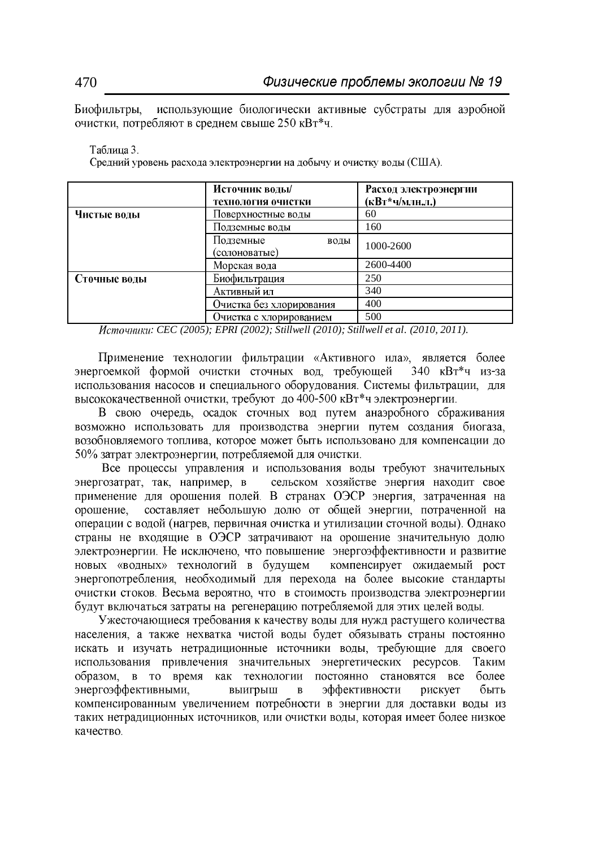Биофильтры, использующие биологически активные субстраты для аэробной очистки, потребляют в среднем свыше 250 кВт\*ч.

#### Таблица 3.

Средний уровень расхода электроэнергии на добычу и очистку воды (США).

|              | Источник воды/                     | Расход электроэнергии |  |
|--------------|------------------------------------|-----------------------|--|
|              | Технология очистки                 | (кВт*ч/млн.л.)        |  |
| Чистые воды  | Поверхностные воды                 | 60                    |  |
|              | Подземные воды                     | 160                   |  |
|              | Подземные<br>воды<br>(солоноватые) | 1000-2600             |  |
|              | Морская вода                       | 2600-4400             |  |
| Сточные воды | Биофильтрация                      | 250                   |  |
|              | Активный ил                        | 340                   |  |
|              | Очистка без хлорирования           | 400                   |  |
|              | Очистка с хлорированием            | 500                   |  |

*: CEC (2005); EPRI (2002); Stillwell (2010); Stillwell et al. (2010, 2011).* 

Применение технологии фильтрации «Активного ила», является более энергоемкой формой очистки сточных вод, требующей  $340$   $\text{RBr}^*$ ч из-за использования насосов и специального оборудования. Системы фильтрации, для высококачественной очистки, требуют до 400-500 кВт\*ч электроэнергии.

В свою очередь, осадок сточных вод путем анаэробного сбраживания возможно использовать для производства энергии путем создания биогаза, возобновляемого топлива, которое может быть использовано для компенсации до 50% затрат электроэнергии, потребляемой для очистки.

Все процессы управления и использования воды требуют значительных энергозатрат, так, например, в сельском хозяйстве энергия находит свое применение для орошения полей. В странах ОЭСР энергия, затраченная на составляет небольшую долю от общей энергии, потраченной на орошение. операции с водой (нагрев, первичная очистка и утилизации сточной воды). Однако страны не входящие в ОЭСР затрачивают на орошение значительную долю электроэнергии. Не исключено, что повышение энергоэффективности и развитие новых «водных» технологий в будущем компенсирует ожидаемый рост энергопотребления, необходимый для перехода на более высокие стандарты очистки стоков. Весьма вероятно, что в стоимость производства электроэнергии будут включаться затраты на регенерацию потребляемой для этих целей воды.

Ужесточающиеся требования к качеству воды для нужд растущего количества населения, а также нехватка чистой воды будет обязывать страны постоянно искать и изучать нетрадиционные источники воды, требующие для своего использования привлечения значительных энергетических ресурсов. Таким образом, в то время как технологии постоянно становятся все более энергоэффективными. эффективности выигрыш  $\mathbf{B}$ рискует быть компенсированным увеличением потребности в энергии для доставки воды из таких нетрадиционных источников, или очистки воды, которая имеет более низкое качество.

470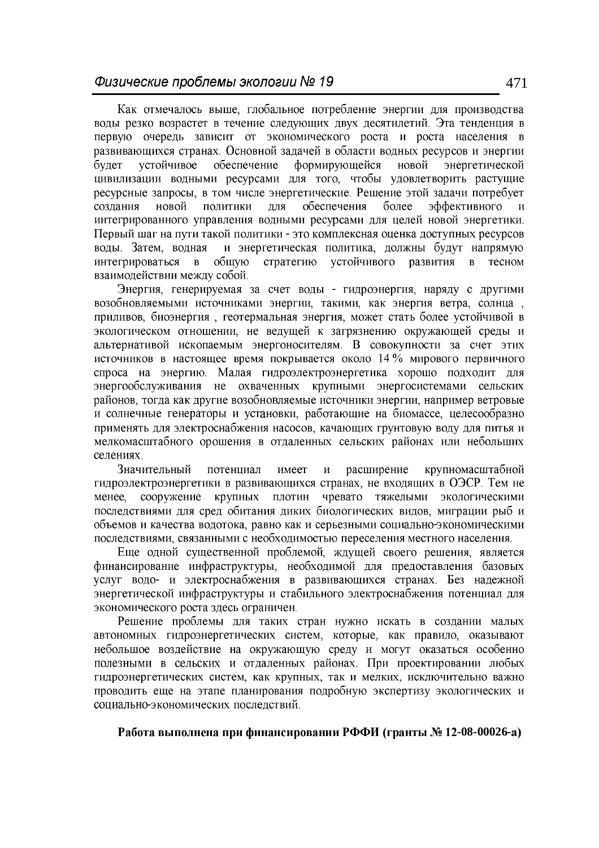Как отмечалось выше, глобальное потребление энергии для производства воды резко возрастет в течение следующих двух десятилетий. Эта тенденция в первую очередь зависит от экономического роста и роста населения в развивающихся странах. Основной задачей в области водных ресурсов и энергии обеспечение формирующейся новой энергетической будет устойчивое цивилизации водными ресурсами для того, чтобы удовлетворить растущие ресурсные запросы, в том числе энергетические. Решение этой задачи потребует новой обеспечения более эффективного создания политики ДЛЯ интегрированного управления водными ресурсами для целей новой энергетики. Первый шаг на пути такой политики - это комплексная оценка доступных ресурсов воды. Затем, водная и энергетическая политика, должны будут напрямую интегрироваться стратегию устойчивого развития тесном  $\mathbf{B}$ общую  $\mathbf{B}$ взаимодействии между собой.

Энергия, генерируемая за счет воды - гидроэнергия, наряду с другими возобновляемыми источниками энергии, такими, как энергия ветра, солнца, приливов, биоэнергия, геотермальная энергия, может стать более устойчивой в экологическом отношении, не ведущей к загрязнению окружающей среды и альтернативой ископаемым энергоносителям. В совокупности за счет этих источников в настоящее время покрывается около 14 % мирового первичного спроса на энергию. Малая гидроэлектроэнергетика хорошо подходит для энергообслуживания не охваченных крупными энергосистемами сельских районов, тогда как другие возобновляемые источники энергии, например ветровые и солнечные генераторы и установки, работающие на биомассе, целесообразно применять для электроснабжения насосов, качающих грунтовую воду для питья и мелкомасштабного орошения в отдаленных сельских районах или небольших селениях.

Значительный потенциал имеет расширение крупномасштабной  $\mathbf{M}$ гидроэлектроэнергетики в развивающихся странах, не входящих в ОЭСР. Тем не сооружение крупных плотин чревато тяжелыми экологическими менее. последствиями для сред обитания диких биологических видов, миграции рыб и объемов и качества водотока, равно как и серьезными социально-экономическими последствиями, связанными с необходимостью переселения местного населения.

Еще одной существенной проблемой, ждущей своего решения, является финансирование инфраструктуры, необходимой для предоставления базовых услуг водо- и электроснабжения в развивающихся странах. Без надежной энергетической инфраструктуры и стабильного электроснабжения потенциал для экономического роста здесь ограничен.

Решение проблемы для таких стран нужно искать в создании малых автономных гидроэнергетических систем, которые, как правило, оказывают небольшое воздействие на окружающую среду и могут оказаться особенно полезными в сельских и отдаленных районах. При проектировании любых гидроэнергетических систем, как крупных, так и мелких, исключительно важно проводить еще на этапе планирования подробную экспертизу экологических и социально-экономических последствий.

Работа выполнена при финансировании РФФИ (гранты № 12-08-00026-а)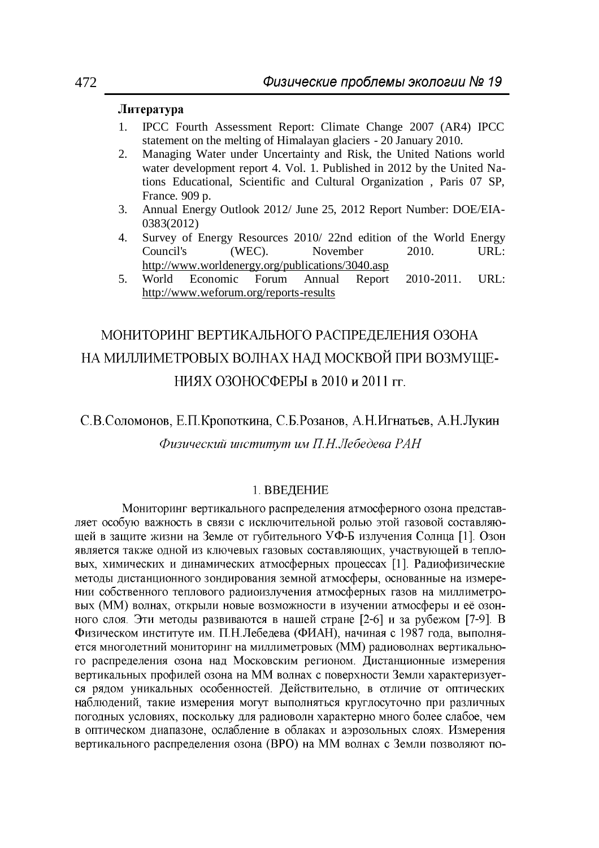## Литература

- 1. IPCC Fourth Assessment Report: Climate Change 2007 (AR4) IPCC statement on the melting of Himalayan glaciers - 20 January 2010.
- 2. Managing Water under Uncertainty and Risk, the United Nations world water development report 4. Vol. 1. Published in 2012 by the United Nations Educational, Scientific and Cultural Organization , Paris 07 SP, France. 909 p.
- 3. Annual Energy Outlook 2012/ June 25, 2012 Report Number: DOE/EIA-0383(2012)
- 4. Survey of Energy Resources 2010/22nd edition of the World Energy Council's (WEC). November 2010. URL: November 2010. URL: <http://www.worldenergy.org/publications/3040.asp>
- 5. World Economic Forum Annual Report 2010-2011. URL: <http://www.weforum.org/reports-results>

# МОНИТОРИНГ ВЕРТИКАЛЬНОГО РАСПРЕДЕЛЕНИЯ ОЗОНА НА МИЛЛИМЕТРОВЫХ ВОЛНАХ НАД МОСКВОЙ ПРИ ВОЗМУЩЕ-НИЯХ ОЗОНОСФЕРЫ в 2010 и 2011 гг.

## С.В.Соломонов, Е.П.Кропоткина, С.Б.Розанов, А.Н.Игнатьев, А.Н.Лукин Физический институт им П.Н.Лебедева РАН

## 1. ВВЕДЕНИЕ

Мониторинг вертикального распределения атмосферного озона представляет особую важность в связи с исключительной ролью этой газовой составляющей в защите жизни на Земле от губительного УФ-Б излучения Солнца [1]. Озон является также одной из ключевых газовых составляющих, участвующей в тепловых, химических и динамических атмосферных процессах [1]. Радиофизические методы дистанционного зондирования земной атмосферы, основанные на измерении собственного теплового радиоизлучения атмосферных газов на миллиметровых (ММ) волнах, открыли новые возможности в изучении атмосферы и её озонного слоя. Эти методы развиваются в нашей стране [2-6] и за рубежом [7-9]. В Физическом институте им. П.Н.Лебедева (ФИАН), начиная с 1987 года, выполняется многолетний мониторинг на миллиметровых (ММ) радиоволнах вертикального распределения озона над Московским регионом. Дистанционные измерения вертикальных профилей озона на ММ волнах с поверхности Земли характеризуется рядом уникальных особенностей. Действительно, в отличие от оптических наблюдений, такие измерения могут выполняться круглосуточно при различных погодных условиях, поскольку для радиоволн характерно много более слабое, чем в оптическом диапазоне, ослабление в облаках и аэрозольных слоях. Измерения вертикального распределения озона (ВРО) на ММ волнах с Земли позволяют по-